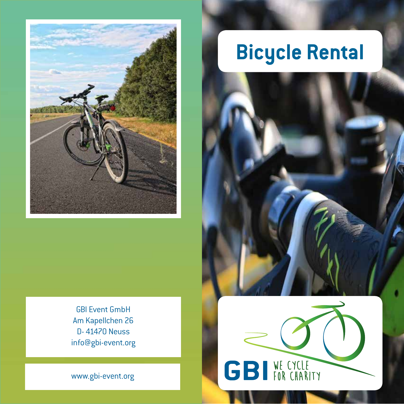

GBI Event GmbH Am Kapellchen 26 D- 41470 Neuss info@gbi-event.org

www.gbi-event.org

# **Bicycle Rental**